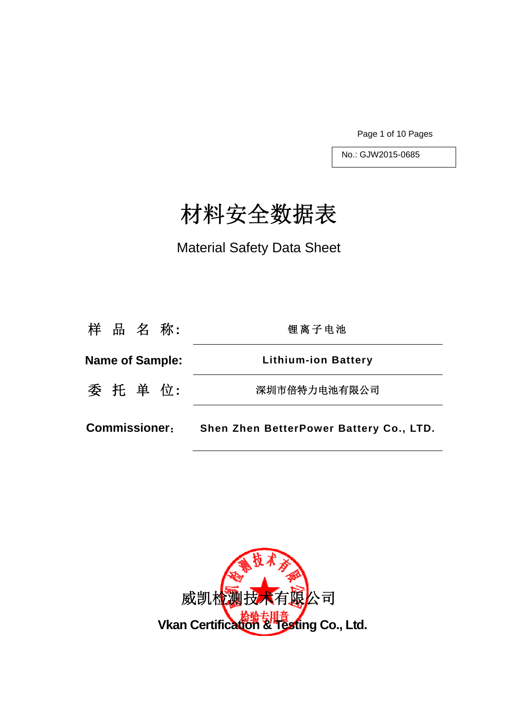Page 1 of 10 Pages

No.: GJW2015-0685

# 材料安全数据表

Material Safety Data Sheet

| <b>Commissioner:</b>   | Shen Zhen BetterPower Battery Co., LTD. |
|------------------------|-----------------------------------------|
| 委 托 单 位:               | 深圳市倍特力电池有限公司                            |
| <b>Name of Sample:</b> | <b>Lithium-ion Battery</b>              |
| 样 品 名 称:               | 锂离子电池                                   |

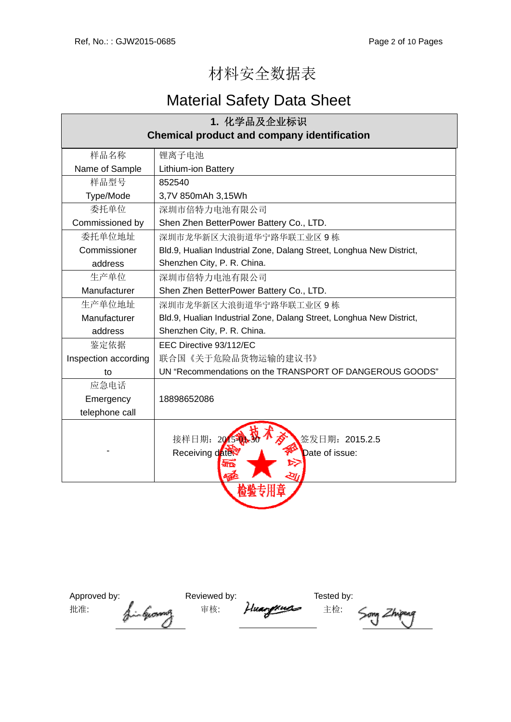## 材料安全数据表

## Material Safety Data Sheet

| 1. 化学品及企业标识                                        |                                                                      |  |
|----------------------------------------------------|----------------------------------------------------------------------|--|
| <b>Chemical product and company identification</b> |                                                                      |  |
| 样品名称                                               | 锂离子电池                                                                |  |
| Name of Sample                                     | <b>Lithium-ion Battery</b>                                           |  |
| 样品型号                                               | 852540                                                               |  |
| Type/Mode                                          | 3,7V 850mAh 3,15Wh                                                   |  |
| 委托单位                                               | 深圳市倍特力电池有限公司                                                         |  |
| Commissioned by                                    | Shen Zhen BetterPower Battery Co., LTD.                              |  |
| 委托单位地址                                             | 深圳市龙华新区大浪街道华宁路华联工业区9栋                                                |  |
| Commissioner                                       | Bld.9, Hualian Industrial Zone, Dalang Street, Longhua New District, |  |
| address                                            | Shenzhen City, P. R. China.                                          |  |
| 生产单位                                               | 深圳市倍特力电池有限公司                                                         |  |
| Manufacturer                                       | Shen Zhen BetterPower Battery Co., LTD.                              |  |
| 生产单位地址                                             | 深圳市龙华新区大浪街道华宁路华联工业区9栋                                                |  |
| Manufacturer                                       | Bld.9, Hualian Industrial Zone, Dalang Street, Longhua New District, |  |
| address                                            | Shenzhen City, P. R. China.                                          |  |
| 鉴定依据                                               | EEC Directive 93/112/EC                                              |  |
| Inspection according                               | 联合国《关于危险品货物运输的建议书》                                                   |  |
| to                                                 | UN "Recommendations on the TRANSPORT OF DANGEROUS GOODS"             |  |
| 应急电话                                               |                                                                      |  |
| Emergency                                          | 18898652086                                                          |  |
| telephone call                                     |                                                                      |  |
|                                                    | 接样日期: 2015-0<br>签发日期: 2015.2.5<br>Receiving date<br>Date of issue:   |  |
|                                                    |                                                                      |  |

| Approved by:<br>批准: |              | Reviewed by:<br>审核: | Huangxuss | Tested by:<br>主检: |  |
|---------------------|--------------|---------------------|-----------|-------------------|--|
|                     | fin George P |                     |           |                   |  |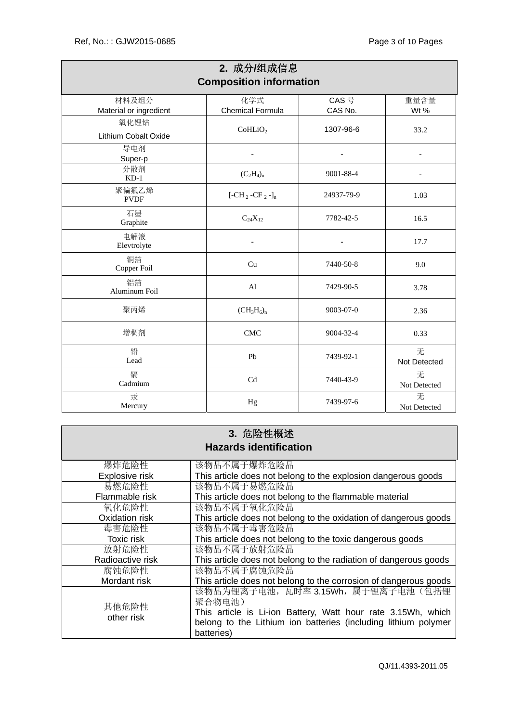|                                 | 2. 成分/组成信息<br><b>Composition information</b> |                              |                   |
|---------------------------------|----------------------------------------------|------------------------------|-------------------|
| 材料及组分<br>Material or ingredient | 化学式<br><b>Chemical Formula</b>               | CAS 号<br>CAS No.             | 重量含量<br>Wt %      |
| 氧化锂钴                            |                                              |                              | 33.2              |
| Lithium Cobalt Oxide            | CoHLiO <sub>2</sub>                          | 1307-96-6                    |                   |
| 导电剂<br>Super-p                  |                                              |                              |                   |
| 分散剂<br>$KD-1$                   | $(C_2H_4)_n$                                 | 9001-88-4                    |                   |
| 聚偏氟乙烯<br><b>PVDF</b>            | $[-CH_2-CF_2-]_n$                            | 24937-79-9                   | 1.03              |
| 石墨<br>Graphite                  | $C_{24}X_{12}$                               | 7782-42-5                    | 16.5              |
| 电解液<br>Elevtrolyte              | $\overline{\phantom{a}}$                     | $\qquad \qquad \blacksquare$ | 17.7              |
| 铜箔<br>Copper Foil               | Cu                                           | 7440-50-8                    | 9.0               |
| 铝箔<br>Aluminum Foil             | Al                                           | 7429-90-5                    | 3.78              |
| 聚丙烯                             | $(CH_3H_6)_n$                                | $9003 - 07 - 0$              | 2.36              |
| 增稠剂                             | <b>CMC</b>                                   | 9004-32-4                    | 0.33              |
| 铅<br>Lead                       | Pb                                           | 7439-92-1                    | 无<br>Not Detected |
| 镉<br>Cadmium                    | Cd                                           | 7440-43-9                    | 无<br>Not Detected |
| 汞<br>Mercury                    | Hg                                           | 7439-97-6                    | 无<br>Not Detected |

| 3. 危险性概述            |                                                                  |  |
|---------------------|------------------------------------------------------------------|--|
|                     | <b>Hazards identification</b>                                    |  |
| 爆炸危险性               | 该物品不属于爆炸危险品                                                      |  |
| Explosive risk      | This article does not belong to the explosion dangerous goods    |  |
| 易燃危险性               | 该物品不属于易燃危险品                                                      |  |
| Flammable risk      | This article does not belong to the flammable material           |  |
| 氧化危险性               | 该物品不属于氧化危险品                                                      |  |
| Oxidation risk      | This article does not belong to the oxidation of dangerous goods |  |
| 毒害危险性               | 该物品不属于毒害危险品                                                      |  |
| <b>Toxic risk</b>   | This article does not belong to the toxic dangerous goods        |  |
| 放射危险性               | 该物品不属于放射危险品                                                      |  |
| Radioactive risk    | This article does not belong to the radiation of dangerous goods |  |
| 腐蚀危险性               | 该物品不属于腐蚀危险品                                                      |  |
| Mordant risk        | This article does not belong to the corrosion of dangerous goods |  |
|                     | 该物品为锂离子电池, 瓦时率 3.15Wh, 属于锂离子电池(包括锂                               |  |
| 其他危险性<br>other risk | 聚合物电池)                                                           |  |
|                     | This article is Li-ion Battery, Watt hour rate 3.15Wh, which     |  |
|                     | belong to the Lithium ion batteries (including lithium polymer   |  |
|                     | batteries)                                                       |  |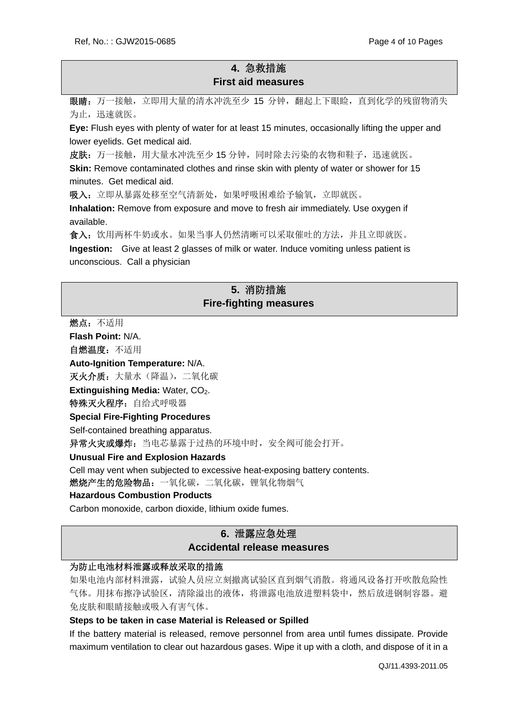## **4.** 急救措施 **First aid measures**

眼睛: 万一接触, 立即用大量的清水冲洗至少 15 分钟, 翻起上下眼睑, 直到化学的残留物消失 为止,迅速就医。

**Eye:** Flush eyes with plenty of water for at least 15 minutes, occasionally lifting the upper and lower eyelids. Get medical aid.

皮肤:万一接触,用大量水冲洗至少15分钟,同时除去污染的衣物和鞋子,迅速就医。

**Skin:** Remove contaminated clothes and rinse skin with plenty of water or shower for 15 minutes. Get medical aid.

吸入: 立即从暴露处移至空气清新处, 如果呼吸困难给予输氧, 立即就医。

**Inhalation:** Remove from exposure and move to fresh air immediately. Use oxygen if available.

食入:饮用两杯牛奶或水。如果当事人仍然清晰可以采取催吐的方法,并且立即就医。 **Ingestion:** Give at least 2 glasses of milk or water. Induce vomiting unless patient is unconscious. Call a physician

### **5.** 消防措施 **Fire-fighting measures**

燃点:不适用

**Flash Point:** N/A.

自燃温度:不适用

**Auto-Ignition Temperature:** N/A.

灭火介质: 大量水(降温), 二氧化碳

**Extinguishing Media: Water, CO<sub>2</sub>.** 

特殊灭火程序: 自给式呼吸器

#### **Special Fire-Fighting Procedures**

Self-contained breathing apparatus.

异常火灾或爆炸: 当电芯暴露于过热的环境中时, 安全阀可能会打开。

#### **Unusual Fire and Explosion Hazards**

Cell may vent when subjected to excessive heat-exposing battery contents.

燃烧产生的危险物品:一氧化碳,二氧化碳,锂氧化物烟气

#### **Hazardous Combustion Products**

Carbon monoxide, carbon dioxide, lithium oxide fumes.

## **6.** 泄露应急处理

#### **Accidental release measures**

#### 为防止电池材料泄露或释放采取的措施

如果电池内部材料泄露,试验人员应立刻撤离试验区直到烟气消散。将通风设备打开吹散危险性 气体。用抹布擦净试验区,清除溢出的液体,将泄露电池放进塑料袋中,然后放进钢制容器。避 免皮肤和眼睛接触或吸入有害气体。

#### **Steps to be taken in case Material is Released or Spilled**

If the battery material is released, remove personnel from area until fumes dissipate. Provide maximum ventilation to clear out hazardous gases. Wipe it up with a cloth, and dispose of it in a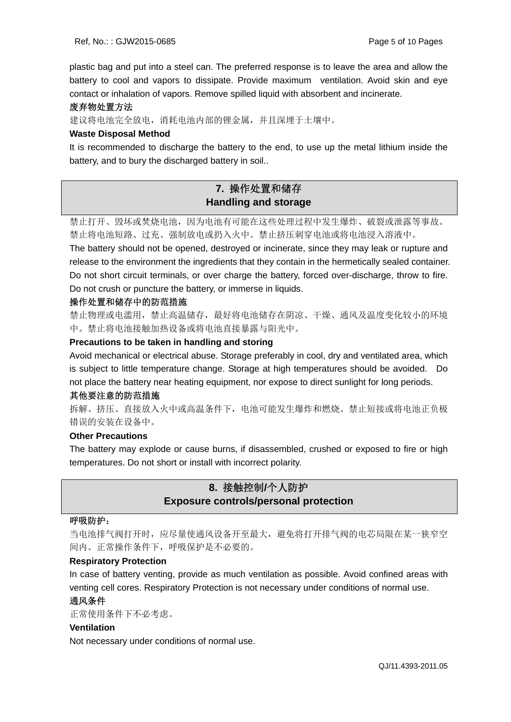plastic bag and put into a steel can. The preferred response is to leave the area and allow the battery to cool and vapors to dissipate. Provide maximum ventilation. Avoid skin and eye contact or inhalation of vapors. Remove spilled liquid with absorbent and incinerate.

#### 废弃物处置方法

建议将电池完全放电,消耗电池内部的锂金属,并且深埋于土壤中。

#### **Waste Disposal Method**

It is recommended to discharge the battery to the end, to use up the metal lithium inside the battery, and to bury the discharged battery in soil..

## **7.** 操作处置和储存 **Handling and storage**

禁止打开、毁坏或焚烧电池,因为电池有可能在这些处理过程中发生爆炸、破裂或泄露等事故。 禁止将电池短路、过充、强制放电或扔入火中。禁止挤压刺穿电池或将电池浸入溶液中。 The battery should not be opened, destroyed or incinerate, since they may leak or rupture and release to the environment the ingredients that they contain in the hermetically sealed container. Do not short circuit terminals, or over charge the battery, forced over-discharge, throw to fire. Do not crush or puncture the battery, or immerse in liquids.

#### 操作处置和储存中的防范措施

禁止物理或电滥用,禁止高温储存,最好将电池储存在阴凉、干燥、通风及温度变化较小的环境 中。禁止将电池接触加热设备或将电池直接暴露与阳光中。

#### **Precautions to be taken in handling and storing**

Avoid mechanical or electrical abuse. Storage preferably in cool, dry and ventilated area, which is subject to little temperature change. Storage at high temperatures should be avoided. Do not place the battery near heating equipment, nor expose to direct sunlight for long periods.

#### 其他要注意的防范措施

拆解、挤压、直接放入火中或高温条件下,电池可能发生爆炸和燃烧。禁止短接或将电池正负极 错误的安装在设备中。

#### **Other Precautions**

The battery may explode or cause burns, if disassembled, crushed or exposed to fire or high temperatures. Do not short or install with incorrect polarity.

## **8.** 接触控制**/**个人防护 **Exposure controls/personal protection**

#### 呼吸防护:

当电池排气阀打开时,应尽量使通风设备开至最大,避免将打开排气阀的电芯局限在某一狭窄空 间内。正常操作条件下,呼吸保护是不必要的。

#### **Respiratory Protection**

In case of battery venting, provide as much ventilation as possible. Avoid confined areas with venting cell cores. Respiratory Protection is not necessary under conditions of normal use.

#### 通风条件

正常使用条件下不必考虑。

#### **Ventilation**

Not necessary under conditions of normal use.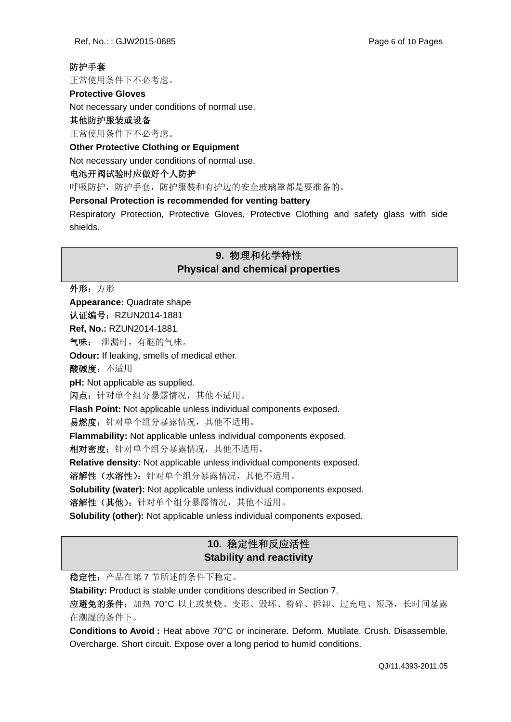### 防护手套

正常使用条件下不必考虑。

#### **Protective Gloves**

Not necessary under conditions of normal use.

#### 其他防护服装或设备

正常使用条件下不必考虑。

#### **Other Protective Clothing or Equipment**

Not necessary under conditions of normal use.

#### 电池开阀试验时应做好个人防护

呼吸防护,防护手套,防护服装和有护边的安全玻璃罩都是要准备的。

#### **Personal Protection is recommended for venting battery**

Respiratory Protection, Protective Gloves, Protective Clothing and safety glass with side shields.

## **9.** 物理和化学特性 **Physical and chemical properties**

外形:方形

**Appearance:** Quadrate shape

认证编号: RZUN2014-1881

**Ref, No.:** RZUN2014-1881

气味: 泄漏时,有醚的气味。

**Odour:** If leaking, smells of medical ether.

酸碱度:不适用

**pH:** Not applicable as supplied.

闪点:针对单个组分暴露情况,其他不适用。

**Flash Point:** Not applicable unless individual components exposed.

易燃度: 针对单个组分暴露情况, 其他不适用。

**Flammability:** Not applicable unless individual components exposed.

相对密度: 针对单个组分暴露情况, 其他不适用。

**Relative density:** Not applicable unless individual components exposed.

溶解性(水溶性):针对单个组分暴露情况,其他不适用。

**Solubility (water):** Not applicable unless individual components exposed.

溶解性(其他): 针对单个组分暴露情况, 其他不适用。

**Solubility (other):** Not applicable unless individual components exposed.

## **10.** 稳定性和反应活性 **Stability and reactivity**

稳定性:产品在第 7 节所述的条件下稳定。

**Stability:** Product is stable under conditions described in Section 7.

应避免的条件:加热 70°C 以上或焚烧、变形、毁坏、粉碎、拆卸、过充电、短路,长时间暴露 在潮湿的条件下。

**Conditions to Avoid :** Heat above 70°C or incinerate. Deform. Mutilate. Crush. Disassemble. Overcharge. Short circuit. Expose over a long period to humid conditions.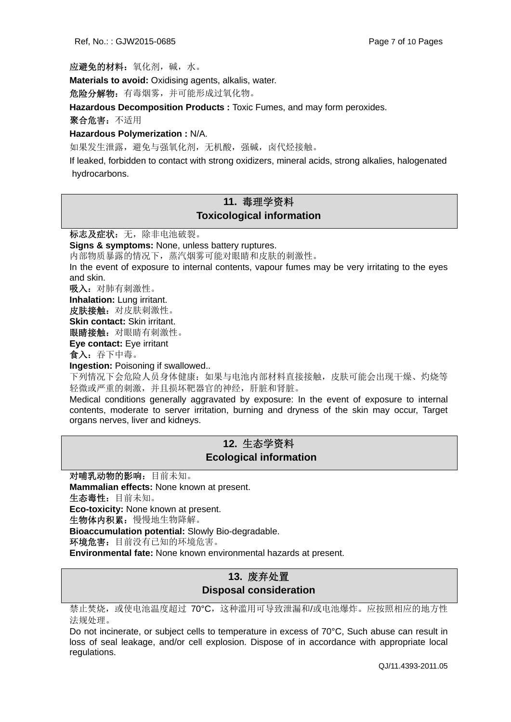应避免的材料:氧化剂,碱,水。

**Materials to avoid:** Oxidising agents, alkalis, water.

危险分解物:有毒烟雾,并可能形成过氧化物。

**Hazardous Decomposition Products :** Toxic Fumes, and may form peroxides.

聚合危害:不适用

**Hazardous Polymerization :** N/A.

如果发生泄露,避免与强氧化剂,无机酸,强碱,卤代烃接触。

If leaked, forbidden to contact with strong oxidizers, mineral acids, strong alkalies, halogenated hydrocarbons.

## **11.** 毒理学资料 **Toxicological information**

标志及症状:无,除非电池破裂。

**Signs & symptoms:** None, unless battery ruptures.

内部物质暴露的情况下,蒸汽烟雾可能对眼睛和皮肤的刺激性。

In the event of exposure to internal contents, vapour fumes may be very irritating to the eyes and skin.

吸入:对肺有刺激性。

**Inhalation:** Lung irritant.

皮肤接触:对皮肤刺激性。

**Skin contact:** Skin irritant.

眼睛接触:对眼睛有刺激性。

**Eye contact:** Eye irritant

食入:吞下中毒。

**Ingestion:** Poisoning if swallowed..

下列情况下会危险人员身体健康: 如果与电池内部材料直接接触,皮肤可能会出现干燥、灼烧等 轻微或严重的刺激,并且损坏靶器官的神经,肝脏和肾脏。

Medical conditions generally aggravated by exposure: In the event of exposure to internal contents, moderate to server irritation, burning and dryness of the skin may occur, Target organs nerves, liver and kidneys.

## **12.** 生态学资料  **Ecological information**

对哺乳动物的影响:目前未知。 **Mammalian effects:** None known at present. 生态毒性:目前未知。 **Eco-toxicity:** None known at present. 生物体内积累:慢慢地生物降解。 **Bioaccumulation potential:** Slowly Bio-degradable. 环境危害:目前没有已知的环境危害。

**Environmental fate:** None known environmental hazards at present.

## **13.** 废弃处置 **Disposal consideration**

禁止焚烧,或使电池温度超过 70℃,这种滥用可导致泄漏和/或电池爆炸。应按照相应的地方性 法规处理。

Do not incinerate, or subject cells to temperature in excess of 70°C, Such abuse can result in loss of seal leakage, and/or cell explosion. Dispose of in accordance with appropriate local regulations.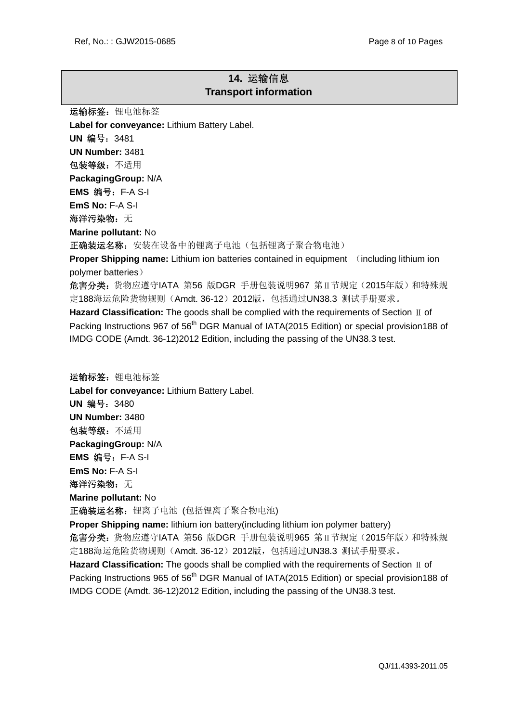## **14.** 运输信息 **Transport information**

运输标签: 锂电池标签 **Label for conveyance:** Lithium Battery Label. **UN** 编号:3481 **UN Number:** 3481 包装等级:不适用 **PackagingGroup:** N/A **EMS** 编号:F-A S-I **EmS No:** F-A S-I 海洋污染物:无 **Marine pollutant:** No 正确装运名称: 安装在设备中的锂离子电池(包括锂离子聚合物电池) **Proper Shipping name:** Lithium ion batteries contained in equipment (including lithium ion polymer batteries) 危害分类:货物应遵守IATA 第56 版DGR 手册包装说明967 第Ⅱ节规定(2015年版)和特殊规 定188海运危险货物规则(Amdt. 36-12) 2012版, 包括通过UN38.3 测试手册要求。 **Hazard Classification:** The goods shall be complied with the requirements of Section Ⅱ of Packing Instructions 967 of 56<sup>th</sup> DGR Manual of IATA(2015 Edition) or special provision 188 of IMDG CODE (Amdt. 36-12)2012 Edition, including the passing of the UN38.3 test. 运输标签: 锂电池标签 **Label for conveyance:** Lithium Battery Label. **UN** 编号:3480 **UN Number:** 3480 包装等级:不适用 **PackagingGroup:** N/A **EMS** 编号:F-A S-I **EmS No:** F-A S-I

海洋污染物: 无

**Marine pollutant:** No

正确装运名称: 锂离子电池 (包括锂离子聚合物电池)

**Proper Shipping name:** lithium ion battery(including lithium ion polymer battery) 危害分类:货物应遵守IATA 第56 版DGR 手册包装说明965 第Ⅱ节规定(2015年版)和特殊规 定188海运危险货物规则(Amdt. 36-12) 2012版, 包括通过UN38.3 测试手册要求。 **Hazard Classification:** The goods shall be complied with the requirements of Section Ⅱ of Packing Instructions 965 of 56<sup>th</sup> DGR Manual of IATA(2015 Edition) or special provision 188 of

IMDG CODE (Amdt. 36-12)2012 Edition, including the passing of the UN38.3 test.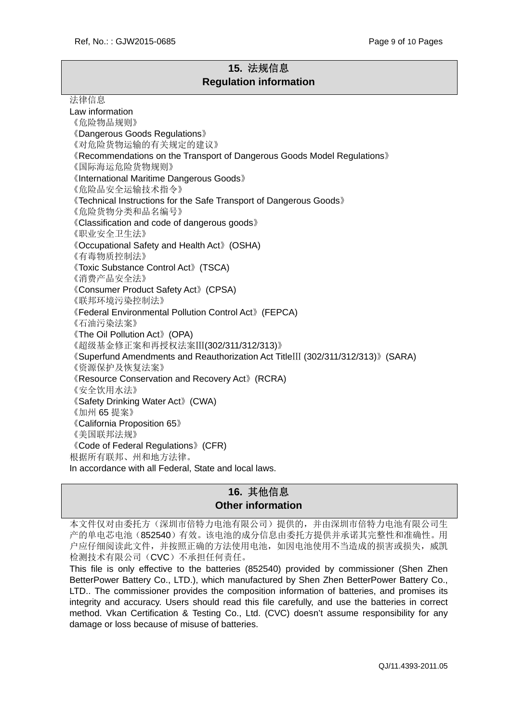## **15.** 法规信息 **Regulation information**

#### 法律信息

Law information 《危险物品规则》 《Dangerous Goods Regulations》 《对危险货物运输的有关规定的建议》 《Recommendations on the Transport of Dangerous Goods Model Regulations》 《国际海运危险货物规则》 《International Maritime Dangerous Goods》 《危险品安全运输技术指令》 《Technical Instructions for the Safe Transport of Dangerous Goods》 《危险货物分类和品名编号》 《Classification and code of dangerous goods》 《职业安全卫生法》 《Occupational Safety and Health Act》(OSHA) 《有毒物质控制法》 《Toxic Substance Control Act》(TSCA) 《消费产品安全法》 《Consumer Product Safety Act》(CPSA) 《联邦环境污染控制法》 《Federal Environmental Pollution Control Act》(FEPCA) 《石油污染法案》 《The Oil Pollution Act》(OPA) 《超级基金修正案和再授权法案Ⅲ(302/311/312/313)》 《Superfund Amendments and Reauthorization Act TitleⅢ (302/311/312/313)》(SARA) 《资源保护及恢复法案》 《Resource Conservation and Recovery Act》(RCRA) 《安全饮用水法》 《Safety Drinking Water Act》(CWA) 《加州 65 提案》 《California Proposition 65》 《美国联邦法规》 《Code of Federal Regulations》(CFR) 根据所有联邦、州和地方法律。 In accordance with all Federal, State and local laws.

## **16.** 其他信息 **Other information**

本文件仅对由委托方(深圳市倍特力电池有限公司)提供的,并由深圳市倍特力电池有限公司生 产的单电芯电池(852540)有效。该电池的成分信息由委托方提供并承诺其完整性和准确性。用 户应仔细阅读此文件,并按照正确的方法使用电池,如因电池使用不当造成的损害或损失,威凯 检测技术有限公司(CVC)不承担任何责任。

This file is only effective to the batteries (852540) provided by commissioner (Shen Zhen BetterPower Battery Co., LTD.), which manufactured by Shen Zhen BetterPower Battery Co., LTD.. The commissioner provides the composition information of batteries, and promises its integrity and accuracy. Users should read this file carefully, and use the batteries in correct method. Vkan Certification & Testing Co., Ltd. (CVC) doesn't assume responsibility for any damage or loss because of misuse of batteries.